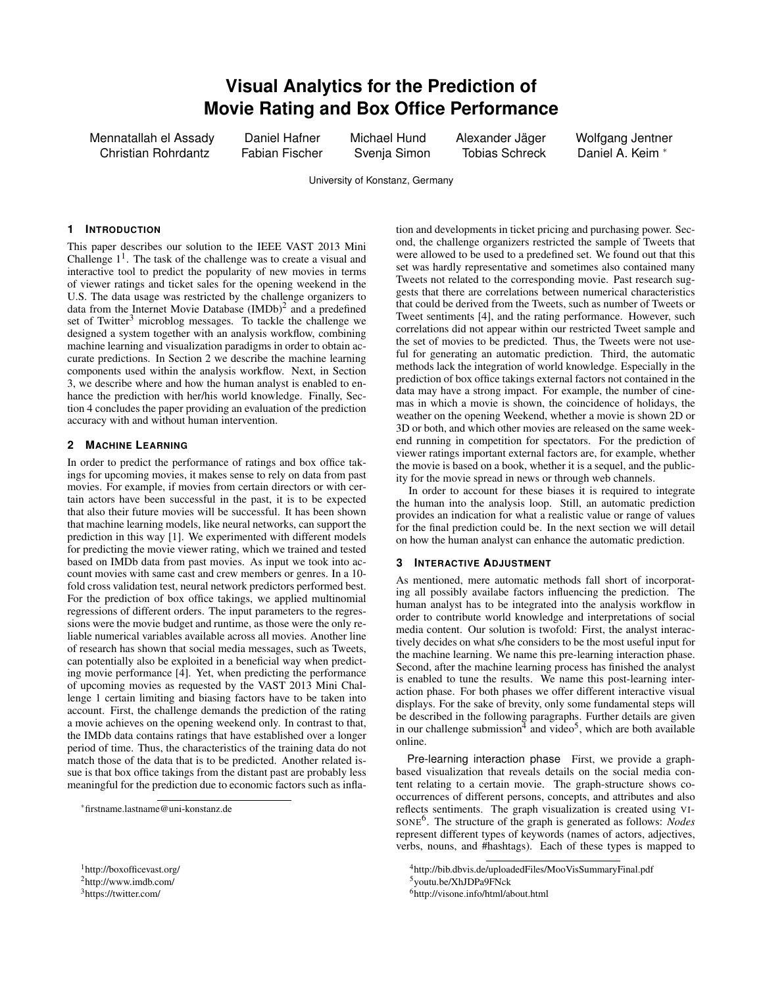# **Visual Analytics for the Prediction of Movie Rating and Box Office Performance**

Mennatallah el Assady Daniel Hafner Michael Hund Alexander Jäger Wolfgang Jentner Christian Rohrdantz Fabian Fischer Svenja Simon Tobias Schreck Daniel A. Keim <sup>∗</sup>

University of Konstanz, Germany

#### **1 INTRODUCTION**

This paper describes our solution to the IEEE VAST 2013 Mini Challenge  $1<sup>1</sup>$ . The task of the challenge was to create a visual and interactive tool to predict the popularity of new movies in terms of viewer ratings and ticket sales for the opening weekend in the U.S. The data usage was restricted by the challenge organizers to data from the Internet Movie Database  $(IMDb)^2$  and a predefined set of Twitter<sup>3</sup> microblog messages. To tackle the challenge we designed a system together with an analysis workflow, combining machine learning and visualization paradigms in order to obtain accurate predictions. In Section 2 we describe the machine learning components used within the analysis workflow. Next, in Section 3, we describe where and how the human analyst is enabled to enhance the prediction with her/his world knowledge. Finally, Section 4 concludes the paper providing an evaluation of the prediction accuracy with and without human intervention.

## **2 MACHINE LEARNING**

In order to predict the performance of ratings and box office takings for upcoming movies, it makes sense to rely on data from past movies. For example, if movies from certain directors or with certain actors have been successful in the past, it is to be expected that also their future movies will be successful. It has been shown that machine learning models, like neural networks, can support the prediction in this way [1]. We experimented with different models for predicting the movie viewer rating, which we trained and tested based on IMDb data from past movies. As input we took into account movies with same cast and crew members or genres. In a 10 fold cross validation test, neural network predictors performed best. For the prediction of box office takings, we applied multinomial regressions of different orders. The input parameters to the regressions were the movie budget and runtime, as those were the only reliable numerical variables available across all movies. Another line of research has shown that social media messages, such as Tweets, can potentially also be exploited in a beneficial way when predicting movie performance [4]. Yet, when predicting the performance of upcoming movies as requested by the VAST 2013 Mini Challenge 1 certain limiting and biasing factors have to be taken into account. First, the challenge demands the prediction of the rating a movie achieves on the opening weekend only. In contrast to that, the IMDb data contains ratings that have established over a longer period of time. Thus, the characteristics of the training data do not match those of the data that is to be predicted. Another related issue is that box office takings from the distant past are probably less meaningful for the prediction due to economic factors such as infla-

<sup>∗</sup>firstname.lastname@uni-konstanz.de

<sup>3</sup>https://twitter.com/

tion and developments in ticket pricing and purchasing power. Second, the challenge organizers restricted the sample of Tweets that were allowed to be used to a predefined set. We found out that this set was hardly representative and sometimes also contained many Tweets not related to the corresponding movie. Past research suggests that there are correlations between numerical characteristics that could be derived from the Tweets, such as number of Tweets or Tweet sentiments [4], and the rating performance. However, such correlations did not appear within our restricted Tweet sample and the set of movies to be predicted. Thus, the Tweets were not useful for generating an automatic prediction. Third, the automatic methods lack the integration of world knowledge. Especially in the prediction of box office takings external factors not contained in the data may have a strong impact. For example, the number of cinemas in which a movie is shown, the coincidence of holidays, the weather on the opening Weekend, whether a movie is shown 2D or 3D or both, and which other movies are released on the same weekend running in competition for spectators. For the prediction of viewer ratings important external factors are, for example, whether the movie is based on a book, whether it is a sequel, and the publicity for the movie spread in news or through web channels.

In order to account for these biases it is required to integrate the human into the analysis loop. Still, an automatic prediction provides an indication for what a realistic value or range of values for the final prediction could be. In the next section we will detail on how the human analyst can enhance the automatic prediction.

### **3 INTERACTIVE ADJUSTMENT**

As mentioned, mere automatic methods fall short of incorporating all possibly availabe factors influencing the prediction. The human analyst has to be integrated into the analysis workflow in order to contribute world knowledge and interpretations of social media content. Our solution is twofold: First, the analyst interactively decides on what s/he considers to be the most useful input for the machine learning. We name this pre-learning interaction phase. Second, after the machine learning process has finished the analyst is enabled to tune the results. We name this post-learning interaction phase. For both phases we offer different interactive visual displays. For the sake of brevity, only some fundamental steps will be described in the following paragraphs. Further details are given in our challenge submission<sup>4</sup> and video<sup>5</sup>, which are both available online.

Pre-learning interaction phase First, we provide a graphbased visualization that reveals details on the social media content relating to a certain movie. The graph-structure shows cooccurrences of different persons, concepts, and attributes and also reflects sentiments. The graph visualization is created using VI-SONE<sup>6</sup> . The structure of the graph is generated as follows: *Nodes* represent different types of keywords (names of actors, adjectives, verbs, nouns, and #hashtags). Each of these types is mapped to

<sup>1</sup>http://boxofficevast.org/  ${}^{2}$ http://www.imdb.com/

<sup>4</sup>http://bib.dbvis.de/uploadedFiles/MooVisSummaryFinal.pdf <sup>5</sup>youtu.be/XhJDPa9FNck

<sup>6</sup>http://visone.info/html/about.html